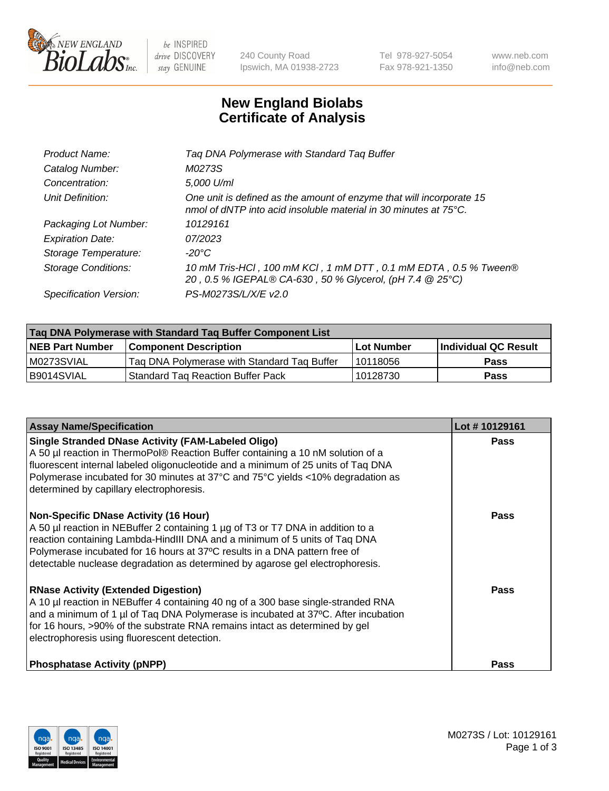

be INSPIRED drive DISCOVERY stay GENUINE

240 County Road Ipswich, MA 01938-2723 Tel 978-927-5054 Fax 978-921-1350 www.neb.com info@neb.com

## **New England Biolabs Certificate of Analysis**

| Product Name:           | Tag DNA Polymerase with Standard Tag Buffer                                                                                                        |
|-------------------------|----------------------------------------------------------------------------------------------------------------------------------------------------|
| Catalog Number:         | M0273S                                                                                                                                             |
| Concentration:          | 5,000 U/ml                                                                                                                                         |
| Unit Definition:        | One unit is defined as the amount of enzyme that will incorporate 15<br>nmol of dNTP into acid insoluble material in 30 minutes at $75^{\circ}$ C. |
| Packaging Lot Number:   | 10129161                                                                                                                                           |
| <b>Expiration Date:</b> | 07/2023                                                                                                                                            |
| Storage Temperature:    | $-20^{\circ}$ C                                                                                                                                    |
| Storage Conditions:     | 10 mM Tris-HCl, 100 mM KCl, 1 mM DTT, 0.1 mM EDTA, 0.5 % Tween®<br>20, 0.5 % IGEPAL® CA-630, 50 % Glycerol, (pH 7.4 @ 25°C)                        |
| Specification Version:  | PS-M0273S/L/X/E v2.0                                                                                                                               |

| Tag DNA Polymerase with Standard Tag Buffer Component List |                                             |                   |                      |  |
|------------------------------------------------------------|---------------------------------------------|-------------------|----------------------|--|
| <b>NEB Part Number</b>                                     | <b>Component Description</b>                | <b>Lot Number</b> | Individual QC Result |  |
| M0273SVIAL                                                 | Tag DNA Polymerase with Standard Tag Buffer | 10118056          | <b>Pass</b>          |  |
| B9014SVIAL                                                 | <b>Standard Tag Reaction Buffer Pack</b>    | 10128730          | <b>Pass</b>          |  |

| <b>Assay Name/Specification</b>                                                                                                                                                                                                                                                                                                                                              | Lot #10129161 |
|------------------------------------------------------------------------------------------------------------------------------------------------------------------------------------------------------------------------------------------------------------------------------------------------------------------------------------------------------------------------------|---------------|
| <b>Single Stranded DNase Activity (FAM-Labeled Oligo)</b><br>A 50 µl reaction in ThermoPol® Reaction Buffer containing a 10 nM solution of a<br>fluorescent internal labeled oligonucleotide and a minimum of 25 units of Taq DNA<br>Polymerase incubated for 30 minutes at 37°C and 75°C yields <10% degradation as<br>determined by capillary electrophoresis.             | <b>Pass</b>   |
| <b>Non-Specific DNase Activity (16 Hour)</b><br>A 50 µl reaction in NEBuffer 2 containing 1 µg of T3 or T7 DNA in addition to a<br>reaction containing Lambda-HindIII DNA and a minimum of 5 units of Taq DNA<br>Polymerase incubated for 16 hours at 37°C results in a DNA pattern free of<br>detectable nuclease degradation as determined by agarose gel electrophoresis. | Pass          |
| <b>RNase Activity (Extended Digestion)</b><br>A 10 µl reaction in NEBuffer 4 containing 40 ng of a 300 base single-stranded RNA<br>and a minimum of 1 µl of Taq DNA Polymerase is incubated at 37°C. After incubation<br>for 16 hours, >90% of the substrate RNA remains intact as determined by gel<br>electrophoresis using fluorescent detection.                         | Pass          |
| <b>Phosphatase Activity (pNPP)</b>                                                                                                                                                                                                                                                                                                                                           | <b>Pass</b>   |

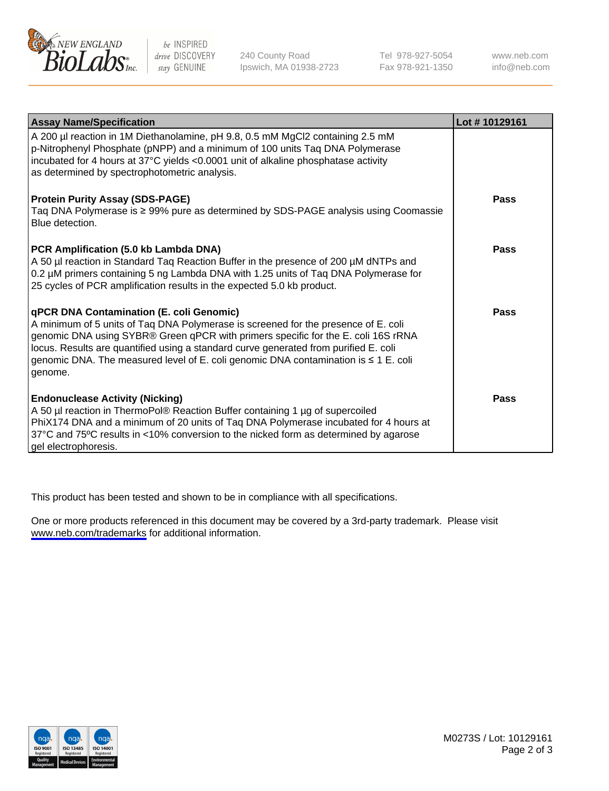

be INSPIRED drive DISCOVERY stay GENUINE

240 County Road Ipswich, MA 01938-2723 Tel 978-927-5054 Fax 978-921-1350

www.neb.com info@neb.com

| <b>Assay Name/Specification</b>                                                                                                                                                                                                                                                                                                                                                                                      | Lot #10129161 |
|----------------------------------------------------------------------------------------------------------------------------------------------------------------------------------------------------------------------------------------------------------------------------------------------------------------------------------------------------------------------------------------------------------------------|---------------|
| A 200 µl reaction in 1M Diethanolamine, pH 9.8, 0.5 mM MgCl2 containing 2.5 mM<br>p-Nitrophenyl Phosphate (pNPP) and a minimum of 100 units Taq DNA Polymerase<br>incubated for 4 hours at 37°C yields <0.0001 unit of alkaline phosphatase activity<br>as determined by spectrophotometric analysis.                                                                                                                |               |
| <b>Protein Purity Assay (SDS-PAGE)</b><br>Taq DNA Polymerase is ≥ 99% pure as determined by SDS-PAGE analysis using Coomassie<br>Blue detection.                                                                                                                                                                                                                                                                     | Pass          |
| PCR Amplification (5.0 kb Lambda DNA)<br>A 50 µl reaction in Standard Taq Reaction Buffer in the presence of 200 µM dNTPs and<br>0.2 µM primers containing 5 ng Lambda DNA with 1.25 units of Taq DNA Polymerase for<br>25 cycles of PCR amplification results in the expected 5.0 kb product.                                                                                                                       | <b>Pass</b>   |
| <b>qPCR DNA Contamination (E. coli Genomic)</b><br>A minimum of 5 units of Taq DNA Polymerase is screened for the presence of E. coli<br>genomic DNA using SYBR® Green qPCR with primers specific for the E. coli 16S rRNA<br>locus. Results are quantified using a standard curve generated from purified E. coli<br>genomic DNA. The measured level of E. coli genomic DNA contamination is ≤ 1 E. coli<br>genome. | <b>Pass</b>   |
| <b>Endonuclease Activity (Nicking)</b><br>A 50 µl reaction in ThermoPol® Reaction Buffer containing 1 µg of supercoiled<br>PhiX174 DNA and a minimum of 20 units of Taq DNA Polymerase incubated for 4 hours at<br>37°C and 75°C results in <10% conversion to the nicked form as determined by agarose<br>gel electrophoresis.                                                                                      | Pass          |

This product has been tested and shown to be in compliance with all specifications.

One or more products referenced in this document may be covered by a 3rd-party trademark. Please visit <www.neb.com/trademarks>for additional information.